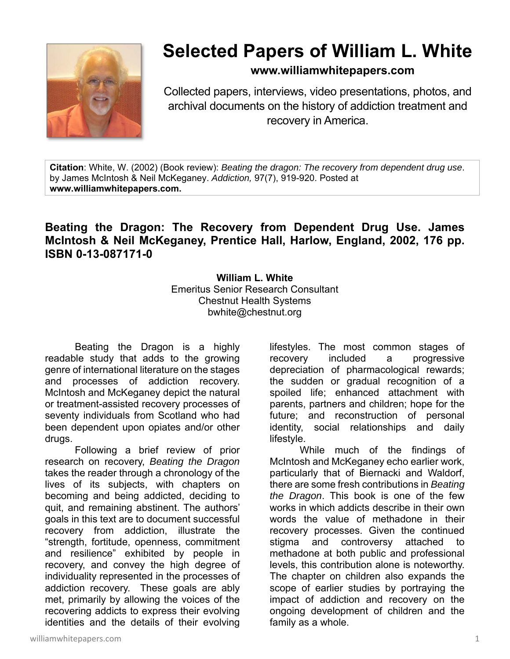

## **Selected Papers of William L. White**

## **www.williamwhitepapers.com**

Collected papers, interviews, video presentations, photos, and archival documents on the history of addiction treatment and recovery in America.

**Citation**: White, W. (2002) (Book review): *Beating the dragon: The recovery from dependent drug use*. by James McIntosh & Neil McKeganey. *Addiction,* 97(7), 919-920. Posted at **www.williamwhitepapers.com.** 

## **Beating the Dragon: The Recovery from Dependent Drug Use. James McIntosh & Neil McKeganey, Prentice Hall, Harlow, England, 2002, 176 pp. ISBN 0-13-087171-0**

**William L. White**  Emeritus Senior Research Consultant Chestnut Health Systems bwhite@chestnut.org

Beating the Dragon is a highly readable study that adds to the growing genre of international literature on the stages and processes of addiction recovery. McIntosh and McKeganey depict the natural or treatment-assisted recovery processes of seventy individuals from Scotland who had been dependent upon opiates and/or other drugs.

 Following a brief review of prior research on recovery, *Beating the Dragon* takes the reader through a chronology of the lives of its subjects, with chapters on becoming and being addicted, deciding to quit, and remaining abstinent. The authors' goals in this text are to document successful recovery from addiction, illustrate the "strength, fortitude, openness, commitment and resilience" exhibited by people in recovery, and convey the high degree of individuality represented in the processes of addiction recovery. These goals are ably met, primarily by allowing the voices of the recovering addicts to express their evolving identities and the details of their evolving lifestyles. The most common stages of recovery included a progressive depreciation of pharmacological rewards; the sudden or gradual recognition of a spoiled life; enhanced attachment with parents, partners and children; hope for the future; and reconstruction of personal identity, social relationships and daily lifestyle.

 While much of the findings of McIntosh and McKeganey echo earlier work, particularly that of Biernacki and Waldorf, there are some fresh contributions in *Beating the Dragon*. This book is one of the few works in which addicts describe in their own words the value of methadone in their recovery processes. Given the continued stigma and controversy attached to methadone at both public and professional levels, this contribution alone is noteworthy. The chapter on children also expands the scope of earlier studies by portraying the impact of addiction and recovery on the ongoing development of children and the family as a whole.